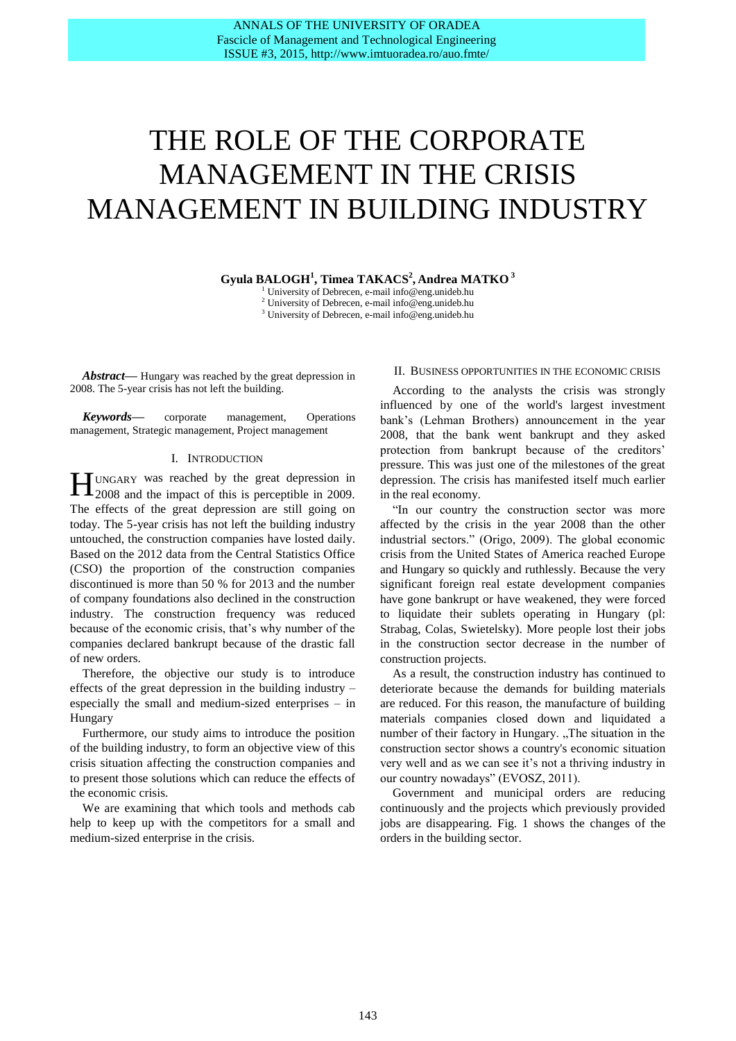# THE ROLE OF THE CORPORATE MANAGEMENT IN THE CRISIS MANAGEMENT IN BUILDING INDUSTRY

**Gyula BALOGH<sup>1</sup> , Timea TAKACS<sup>2</sup> , Andrea MATKO 3**

University of Debrecen, e-mail info@eng.unideb.hu <sup>2</sup> University of Debrecen, e-mail info@eng.unideb.hu <sup>3</sup> University of Debrecen, e-mail info@eng.unideb.hu

*Abstract***—** Hungary was reached by the great depression in 2008. The 5-year crisis has not left the building.

*Keywords***—** corporate management, Operations management, Strategic management, Project management

#### I. INTRODUCTION

UNGARY was reached by the great depression in **HE** UNGARY was reached by the great depression in 2009. The effects of the great depression are still going on today. The 5-year crisis has not left the building industry untouched, the construction companies have losted daily. Based on the 2012 data from the Central Statistics Office (CSO) the proportion of the construction companies discontinued is more than 50 % for 2013 and the number of company foundations also declined in the construction industry. The construction frequency was reduced because of the economic crisis, that's why number of the companies declared bankrupt because of the drastic fall of new orders.

Therefore, the objective our study is to introduce effects of the great depression in the building industry – especially the small and medium-sized enterprises – in Hungary

Furthermore, our study aims to introduce the position of the building industry, to form an objective view of this crisis situation affecting the construction companies and to present those solutions which can reduce the effects of the economic crisis.

We are examining that which tools and methods cab help to keep up with the competitors for a small and medium-sized enterprise in the crisis.

#### II. BUSINESS OPPORTUNITIES IN THE ECONOMIC CRISIS

According to the analysts the crisis was strongly influenced by one of the world's largest investment bank's (Lehman Brothers) announcement in the year 2008, that the bank went bankrupt and they asked protection from bankrupt because of the creditors' pressure. This was just one of the milestones of the great depression. The crisis has manifested itself much earlier in the real economy.

"In our country the construction sector was more affected by the crisis in the year 2008 than the other industrial sectors." (Origo, 2009). The global economic crisis from the United States of America reached Europe and Hungary so quickly and ruthlessly. Because the very significant foreign real estate development companies have gone bankrupt or have weakened, they were forced to liquidate their sublets operating in Hungary (pl: Strabag, Colas, Swietelsky). More people lost their jobs in the construction sector decrease in the number of construction projects.

As a result, the construction industry has continued to deteriorate because the demands for building materials are reduced. For this reason, the manufacture of building materials companies closed down and liquidated a number of their factory in Hungary. "The situation in the construction sector shows a country's economic situation very well and as we can see it's not a thriving industry in our country nowadays" (EVOSZ, 2011).

Government and municipal orders are reducing continuously and the projects which previously provided jobs are disappearing. Fig. 1 shows the changes of the orders in the building sector.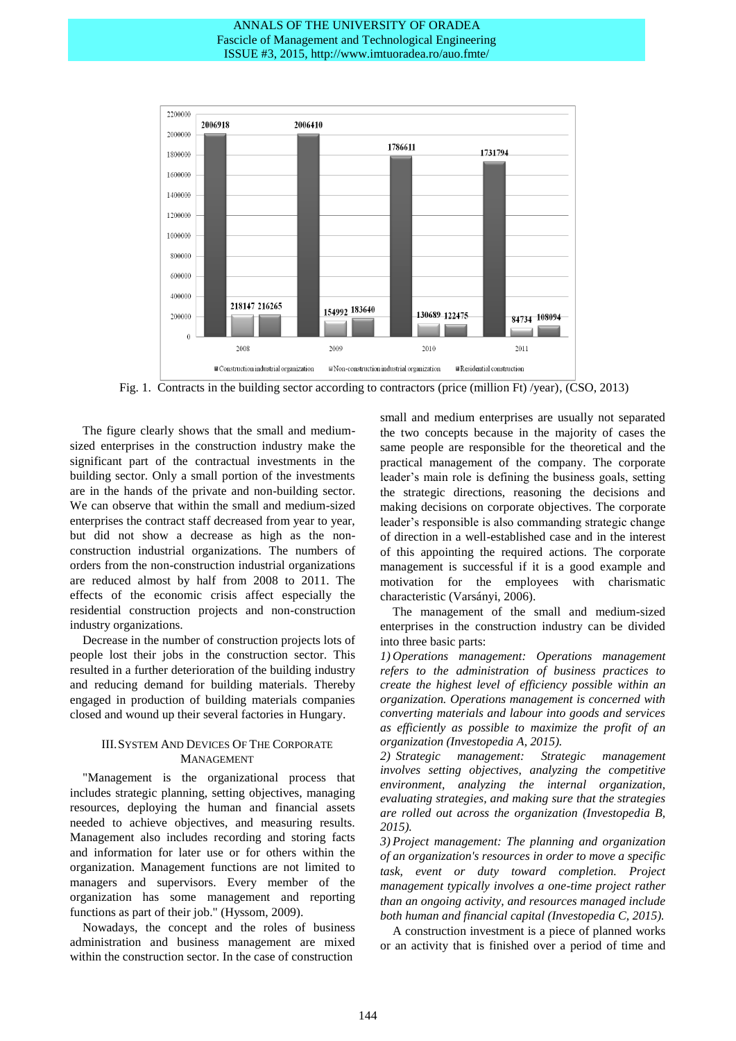

Fig. 1. Contracts in the building sector according to contractors (price (million Ft) /year), (CSO, 2013)

The figure clearly shows that the small and mediumsized enterprises in the construction industry make the significant part of the contractual investments in the building sector. Only a small portion of the investments are in the hands of the private and non-building sector. We can observe that within the small and medium-sized enterprises the contract staff decreased from year to year, but did not show a decrease as high as the nonconstruction industrial organizations. The numbers of orders from the non-construction industrial organizations are reduced almost by half from 2008 to 2011. The effects of the economic crisis affect especially the residential construction projects and non-construction industry organizations.

Decrease in the number of construction projects lots of people lost their jobs in the construction sector. This resulted in a further deterioration of the building industry and reducing demand for building materials. Thereby engaged in production of building materials companies closed and wound up their several factories in Hungary.

## III.SYSTEM AND DEVICES OF THE CORPORATE MANAGEMENT

"Management is the organizational process that includes strategic planning, setting objectives, managing resources, deploying the human and financial assets needed to achieve objectives, and measuring results. Management also includes recording and storing facts and information for later use or for others within the organization. Management functions are not limited to managers and supervisors. Every member of the organization has some management and reporting functions as part of their job." (Hyssom, 2009).

Nowadays, the concept and the roles of business administration and business management are mixed within the construction sector. In the case of construction

small and medium enterprises are usually not separated the two concepts because in the majority of cases the same people are responsible for the theoretical and the practical management of the company. The corporate leader's main role is defining the business goals, setting the strategic directions, reasoning the decisions and making decisions on corporate objectives. The corporate leader's responsible is also commanding strategic change of direction in a well-established case and in the interest of this appointing the required actions. The corporate management is successful if it is a good example and motivation for the employees with charismatic characteristic (Varsányi, 2006).

The management of the small and medium-sized enterprises in the construction industry can be divided into three basic parts:

*1) Operations management: Operations management refers to the administration of business practices to create the highest level of efficiency possible within an organization. Operations management is concerned with converting materials and labour into goods and services as efficiently as possible to maximize the profit of an organization (Investopedia A, 2015).*

*2) Strategic management: Strategic management involves setting objectives, analyzing the competitive environment, analyzing the internal organization, evaluating strategies, and making sure that the strategies are rolled out across the organization (Investopedia B, 2015).*

*3) Project management: The planning and organization of an organization's resources in order to move a specific task, event or duty toward completion. Project management typically involves a one-time project rather than an ongoing activity, and resources managed include both human and financial capital (Investopedia C, 2015).*

A construction investment is a [piece](http://dictionary.cambridge.org/dictionary/english/piece) of [planned](http://dictionary.cambridge.org/dictionary/english/plan) [works](http://dictionary.cambridge.org/dictionary/english/work) or an [activity](http://dictionary.cambridge.org/dictionary/english/activity) that is [finished](http://dictionary.cambridge.org/dictionary/english/finished) over a [period](http://dictionary.cambridge.org/dictionary/english/period) of [time](http://dictionary.cambridge.org/dictionary/english/time) and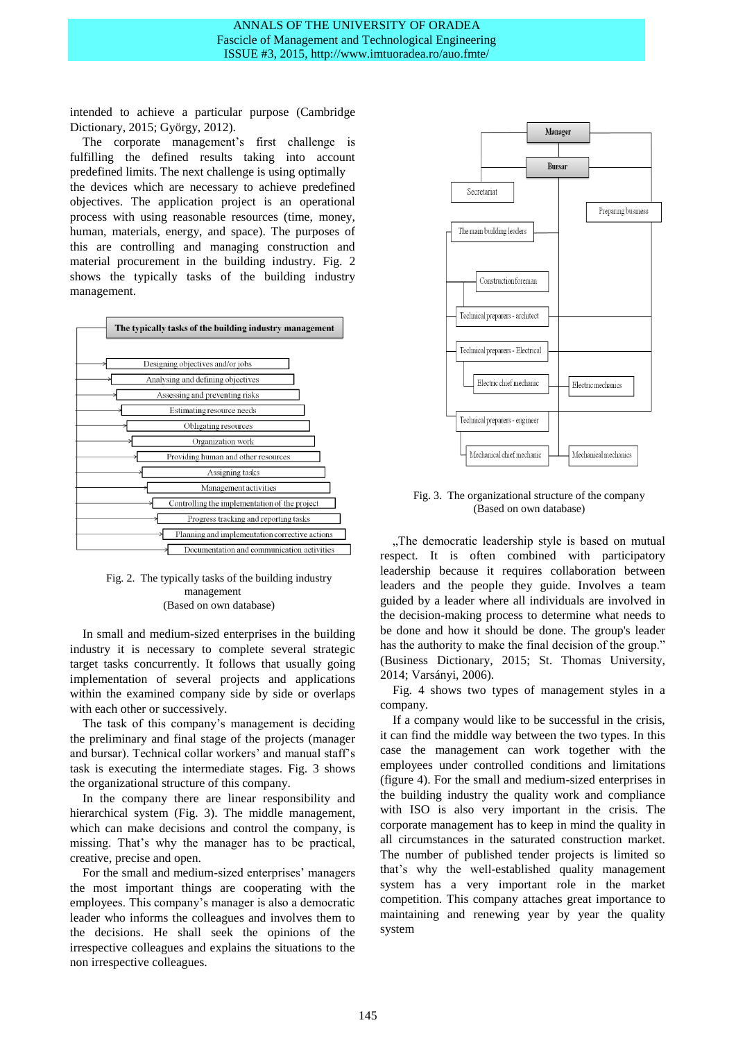[intended](http://dictionary.cambridge.org/dictionary/english/intended) to [achieve](http://dictionary.cambridge.org/dictionary/english/achieve) a [particular](http://dictionary.cambridge.org/dictionary/english/particular) [purpose](http://dictionary.cambridge.org/dictionary/english/purpose) (Cambridge Dictionary, 2015; György, 2012).

The corporate management's first challenge is fulfilling the defined results taking into account predefined limits. The next challenge is using optimally the devices which are necessary to achieve predefined objectives. The application project is an operational process with using reasonable resources (time, money, human, materials, energy, and space). The purposes of this are controlling and managing construction and material procurement in the building industry. Fig. 2 shows the typically tasks of the building industry management.



## Fig. 2. The typically tasks of the building industry management (Based on own database)

In small and medium-sized enterprises in the building industry it is necessary to complete several strategic target tasks concurrently. It follows that usually going implementation of several projects and applications within the examined company side by side or overlaps with each other or successively.

The task of this company's management is deciding the preliminary and final stage of the projects (manager and bursar). Technical collar workers' and manual staff's task is executing the intermediate stages. Fig. 3 shows the organizational structure of this company.

In the company there are linear responsibility and hierarchical system (Fig. 3). The middle management, which can make decisions and control the company, is missing. That's why the manager has to be practical, creative, precise and open.

For the small and medium-sized enterprises' managers the most important things are cooperating with the employees. This company's manager is also a democratic leader who informs the colleagues and involves them to the decisions. He shall seek the opinions of the irrespective colleagues and explains the situations to the non irrespective colleagues.



Fig. 3. The organizational structure of the company (Based on own database)

"The democratic leadership style is based on mutual respect. It is often combined with participatory leadership because it requires collaboration between leaders and the people they guide. Involves a team guided by a leader where all individuals are involved in the decision-making process to determine what needs to be done and how it should be done. The group's leader has the authority to make the final decision of the group." (Business Dictionary, 2015; St. Thomas University, 2014; Varsányi, 2006).

Fig. 4 shows two types of management styles in a company.

If a company would like to be successful in the crisis, it can find the middle way between the two types. In this case the management can work together with the employees under controlled conditions and limitations (figure 4). For the small and medium-sized enterprises in the building industry the quality work and compliance with ISO is also very important in the crisis. The corporate management has to keep in mind the quality in all circumstances in the saturated construction market. The number of published tender projects is limited so that's why the well-established quality management system has a very important role in the market competition. This company attaches great importance to maintaining and renewing year by year the quality system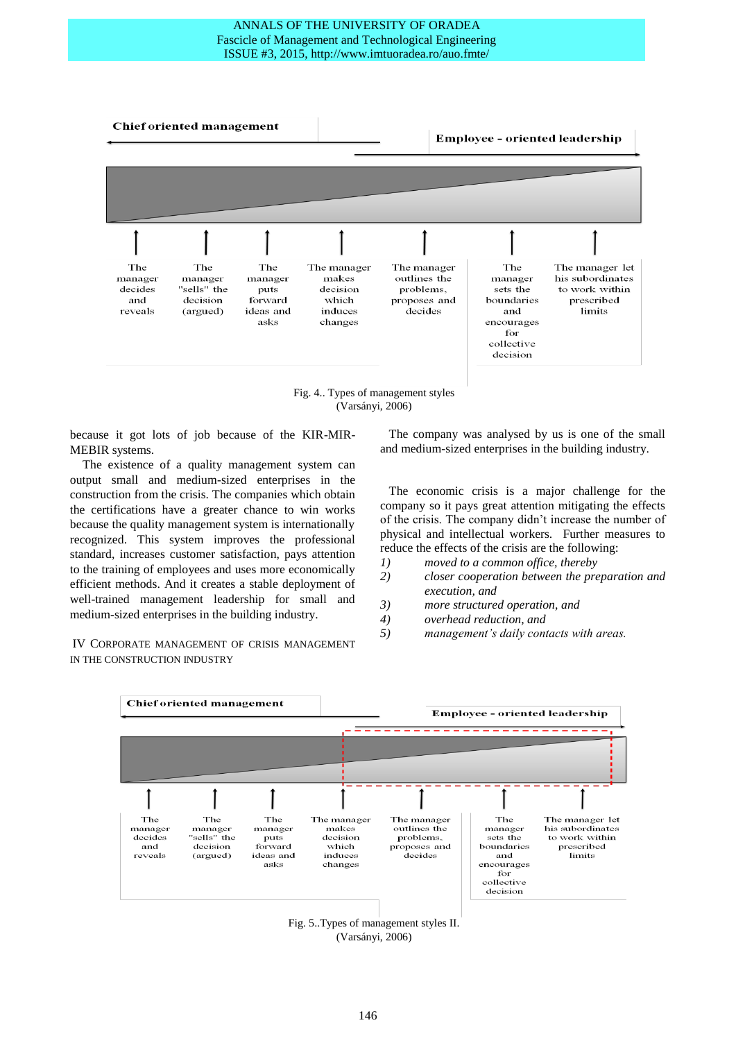

Fig. 4.. Types of management styles (Varsányi, 2006)

because it got lots of job because of the KIR-MIR-MEBIR systems.

The existence of a quality management system can output small and medium-sized enterprises in the construction from the crisis. The companies which obtain the certifications have a greater chance to win works because the quality management system is internationally recognized. This system improves the professional standard, increases customer satisfaction, pays attention to the training of employees and uses more economically efficient methods. And it creates a stable deployment of well-trained management leadership for small and medium-sized enterprises in the building industry.

IV CORPORATE MANAGEMENT OF CRISIS MANAGEMENT IN THE CONSTRUCTION INDUSTRY

The company was analysed by us is one of the small and medium-sized enterprises in the building industry.

The economic crisis is a major challenge for the company so it pays great attention mitigating the effects of the crisis. The company didn't increase the number of physical and intellectual workers. Further measures to reduce the effects of the crisis are the following:

- *1) moved to a common office, thereby*
- *2) closer cooperation between the preparation and execution, and*
- *3) more structured operation, and*
- *4) overhead reduction, and*
- *5) management's daily contacts with areas.*



Fig. 5..Types of management styles II. (Varsányi, 2006)

#### **Chief oriented management**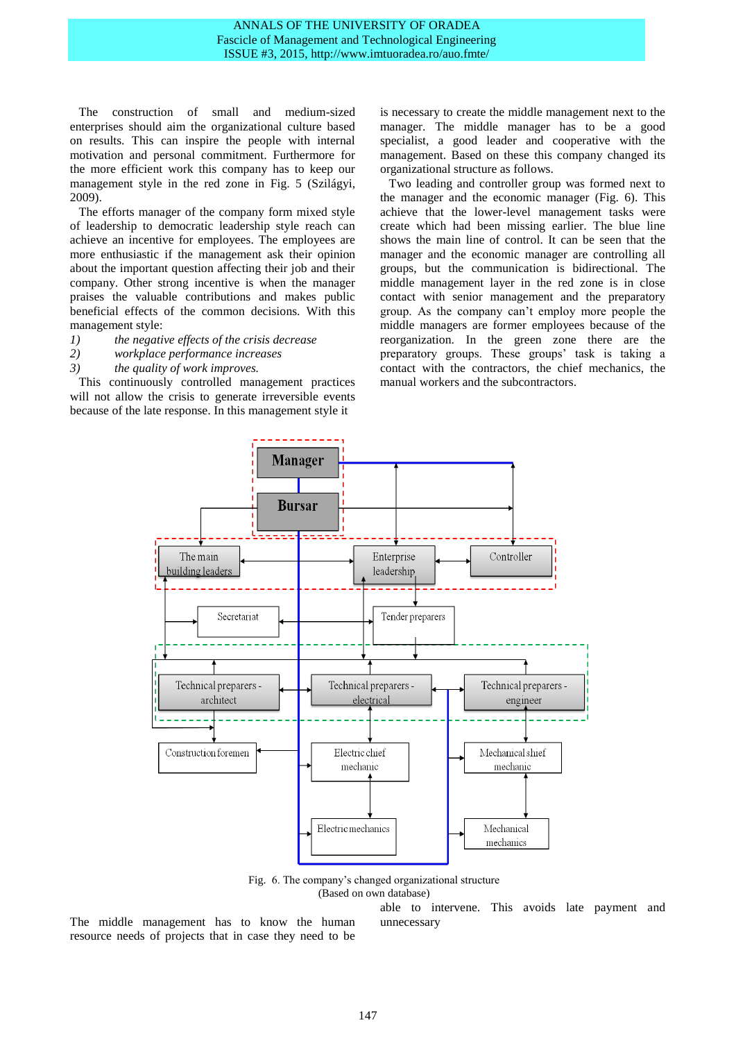The construction of small and medium-sized enterprises should aim the organizational culture based on results. This can inspire the people with internal motivation and personal commitment. Furthermore for the more efficient work this company has to keep our management style in the red zone in Fig. 5 (Szilágyi, 2009).

The efforts manager of the company form mixed style of leadership to democratic leadership style reach can achieve an incentive for employees. The employees are more enthusiastic if the management ask their opinion about the important question affecting their job and their company. Other strong incentive is when the manager praises the valuable contributions and makes public beneficial effects of the common decisions. With this management style:

- *1) the negative effects of the crisis decrease*
- *2) workplace performance increases*
- *3) the quality of work improves.*

This continuously controlled management practices will not allow the crisis to generate irreversible events because of the late response. In this management style it

is necessary to create the middle management next to the manager. The middle manager has to be a good specialist, a good leader and cooperative with the management. Based on these this company changed its organizational structure as follows.

Two leading and controller group was formed next to the manager and the economic manager (Fig. 6). This achieve that the lower-level management tasks were create which had been missing earlier. The blue line shows the main line of control. It can be seen that the manager and the economic manager are controlling all groups, but the communication is bidirectional. The middle management layer in the red zone is in close contact with senior management and the preparatory group. As the company can't employ more people the middle managers are former employees because of the reorganization. In the green zone there are the preparatory groups. These groups' task is taking a contact with the contractors, the chief mechanics, the manual workers and the subcontractors.



Fig. 6. The company's changed organizational structure (Based on own database)

The middle management has to know the human resource needs of projects that in case they need to be

able to intervene. This avoids late payment and unnecessary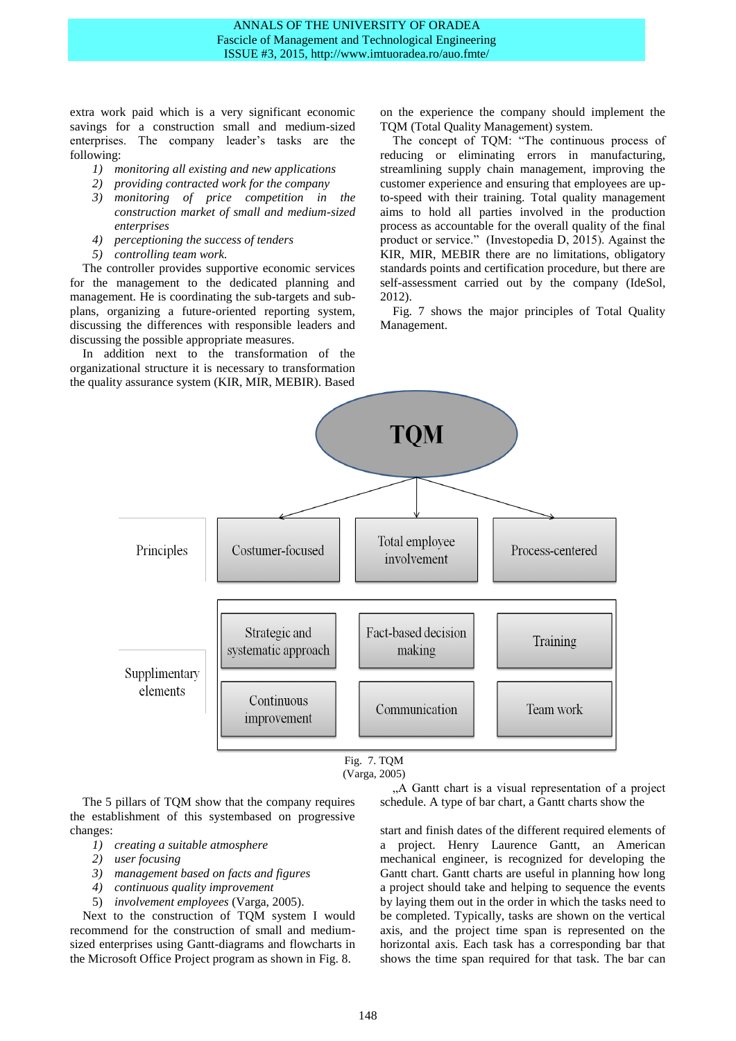extra work paid which is a very significant economic savings for a construction small and medium-sized enterprises. The company leader's tasks are the following:

- *1) monitoring all existing and new applications*
- *2) providing contracted work for the company*
- *3) monitoring of price competition in the construction market of small and medium-sized enterprises*
- *4) perceptioning the success of tenders*
- *5) controlling team work.*

The controller provides supportive economic services for the management to the dedicated planning and management. He is coordinating the sub-targets and subplans, organizing a future-oriented reporting system, discussing the differences with responsible leaders and discussing the possible appropriate measures.

In addition next to the transformation of the organizational structure it is necessary to transformation the quality assurance system (KIR, MIR, MEBIR). Based

on the experience the company should implement the TQM (Total Quality Management) system.

The concept of TQM: "The continuous process of reducing or eliminating errors in manufacturing, streamlining supply chain management, improving the customer experience and ensuring that employees are upto-speed with their training. Total quality management aims to hold all parties involved in the production process as accountable for the overall quality of the final product or service." (Investopedia D, 2015). Against the KIR, MIR, MEBIR there are no limitations, obligatory standards points and certification procedure, but there are self-assessment carried out by the company (IdeSol, 2012).

Fig. 7 shows the major principles of Total Quality Management.



<sup>(</sup>Varga, 2005)

The 5 pillars of TQM show that the company requires the establishment of this systembased on progressive changes:

- *1) creating a suitable atmosphere*
- *2) user focusing*
- *3) management based on facts and figures*
- *4) continuous quality improvement*
- 5) *involvement employees* (Varga, 2005).

Next to the construction of TQM system I would recommend for the construction of small and mediumsized enterprises using Gantt-diagrams and flowcharts in the Microsoft Office Project program as shown in Fig. 8.

"A Gantt chart is a visual representation of a project schedule. A type of bar chart, a Gantt charts show the

start and finish dates of the different required elements of a project. Henry Laurence Gantt, an American mechanical engineer, is recognized for developing the Gantt chart. Gantt charts are useful in planning how long a project should take and helping to sequence the events by laying them out in the order in which the tasks need to be completed. Typically, tasks are shown on the vertical axis, and the project time span is represented on the horizontal axis. Each task has a corresponding bar that shows the time span required for that task. The bar can